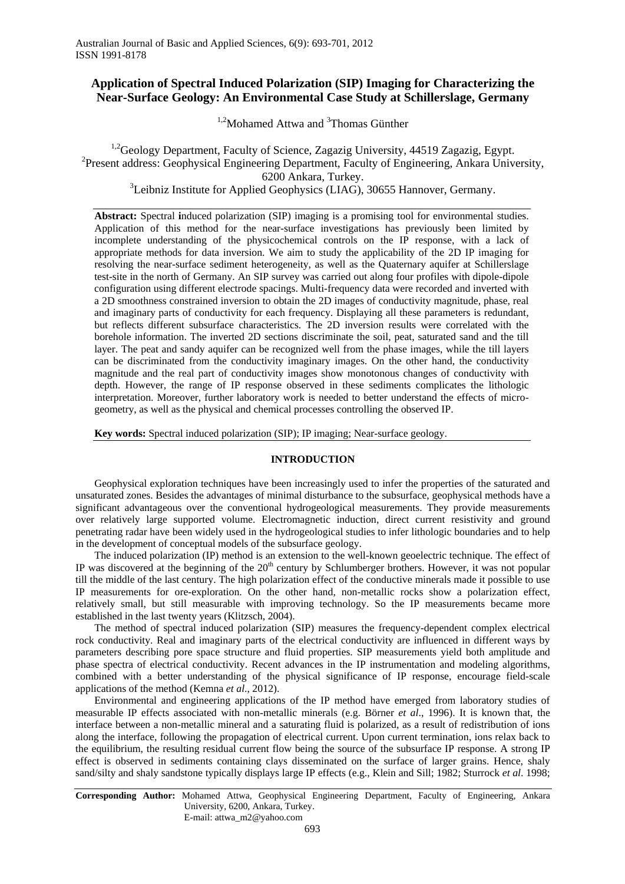# **Application of Spectral Induced Polarization (SIP) Imaging for Characterizing the Near-Surface Geology: An Environmental Case Study at Schillerslage, Germany**

<sup>1,2</sup>Mohamed Attwa and <sup>3</sup>Thomas Günther

<sup>1,2</sup>Geology Department, Faculty of Science, Zagazig University, 44519 Zagazig, Egypt. <sup>2</sup> Present address: Geophysical Engineering Department, Faculty of Engineering, Ankara University, 6200 Ankara, Turkey.<br><sup>3</sup>Leibniz Institute for Applied Geophysics (LIAG), 30655 Hannover, Germany.

**Abstract:** Spectral **i**nduced polarization (SIP) imaging is a promising tool for environmental studies. Application of this method for the near-surface investigations has previously been limited by incomplete understanding of the physicochemical controls on the IP response, with a lack of appropriate methods for data inversion. We aim to study the applicability of the 2D IP imaging for resolving the near-surface sediment heterogeneity, as well as the Quaternary aquifer at Schillerslage test-site in the north of Germany. An SIP survey was carried out along four profiles with dipole-dipole configuration using different electrode spacings. Multi-frequency data were recorded and inverted with a 2D smoothness constrained inversion to obtain the 2D images of conductivity magnitude, phase, real and imaginary parts of conductivity for each frequency. Displaying all these parameters is redundant, but reflects different subsurface characteristics. The 2D inversion results were correlated with the borehole information. The inverted 2D sections discriminate the soil, peat, saturated sand and the till layer. The peat and sandy aquifer can be recognized well from the phase images, while the till layers can be discriminated from the conductivity imaginary images. On the other hand, the conductivity magnitude and the real part of conductivity images show monotonous changes of conductivity with depth. However, the range of IP response observed in these sediments complicates the lithologic interpretation. Moreover, further laboratory work is needed to better understand the effects of microgeometry, as well as the physical and chemical processes controlling the observed IP.

**Key words:** Spectral induced polarization (SIP); IP imaging; Near-surface geology.

## **INTRODUCTION**

Geophysical exploration techniques have been increasingly used to infer the properties of the saturated and unsaturated zones. Besides the advantages of minimal disturbance to the subsurface, geophysical methods have a significant advantageous over the conventional hydrogeological measurements. They provide measurements over relatively large supported volume. Electromagnetic induction, direct current resistivity and ground penetrating radar have been widely used in the hydrogeological studies to infer lithologic boundaries and to help in the development of conceptual models of the subsurface geology.

The induced polarization (IP) method is an extension to the well-known geoelectric technique. The effect of IP was discovered at the beginning of the  $20<sup>th</sup>$  century by Schlumberger brothers. However, it was not popular till the middle of the last century. The high polarization effect of the conductive minerals made it possible to use IP measurements for ore-exploration. On the other hand, non-metallic rocks show a polarization effect, relatively small, but still measurable with improving technology. So the IP measurements became more established in the last twenty years (Klitzsch, 2004).

The method of spectral induced polarization (SIP) measures the frequency-dependent complex electrical rock conductivity. Real and imaginary parts of the electrical conductivity are influenced in different ways by parameters describing pore space structure and fluid properties. SIP measurements yield both amplitude and phase spectra of electrical conductivity. Recent advances in the IP instrumentation and modeling algorithms, combined with a better understanding of the physical significance of IP response, encourage field-scale applications of the method (Kemna *et al*., 2012).

Environmental and engineering applications of the IP method have emerged from laboratory studies of measurable IP effects associated with non-metallic minerals (e.g. Börner *et al*., 1996). It is known that, the interface between a non-metallic mineral and a saturating fluid is polarized, as a result of redistribution of ions along the interface, following the propagation of electrical current. Upon current termination, ions relax back to the equilibrium, the resulting residual current flow being the source of the subsurface IP response. A strong IP effect is observed in sediments containing clays disseminated on the surface of larger grains. Hence, shaly sand/silty and shaly sandstone typically displays large IP effects (e.g., Klein and Sill; 1982; Sturrock *et al*. 1998;

**Corresponding Author:** Mohamed Attwa, Geophysical Engineering Department, Faculty of Engineering, Ankara University, 6200, Ankara, Turkey. E-mail: attwa\_m2@yahoo.com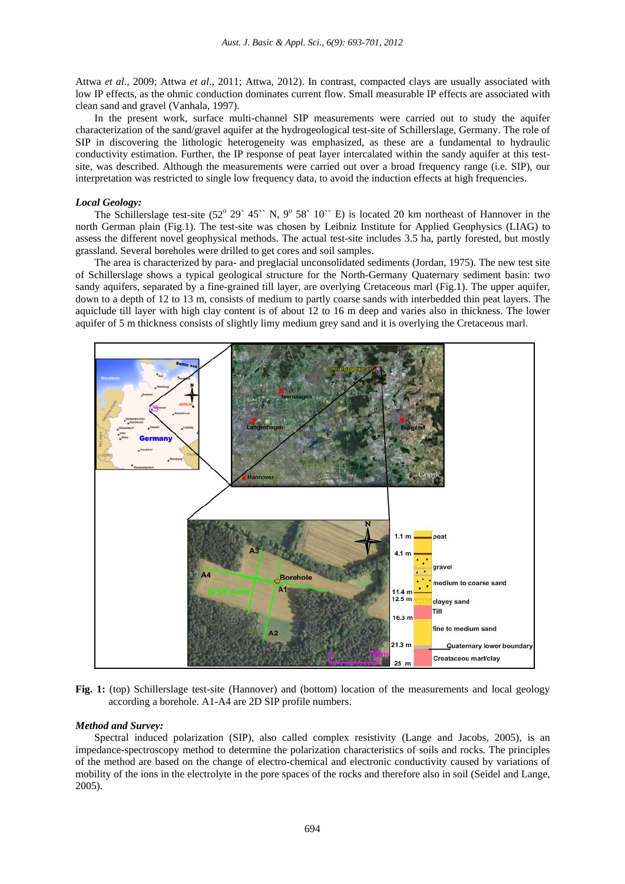Attwa *et al*., 2009; Attwa *et al*., 2011; Attwa, 2012). In contrast, compacted clays are usually associated with low IP effects, as the ohmic conduction dominates current flow. Small measurable IP effects are associated with clean sand and gravel (Vanhala, 1997).

In the present work, surface multi-channel SIP measurements were carried out to study the aquifer characterization of the sand/gravel aquifer at the hydrogeological test-site of Schillerslage, Germany. The role of SIP in discovering the lithologic heterogeneity was emphasized, as these are a fundamental to hydraulic conductivity estimation. Further, the IP response of peat layer intercalated within the sandy aquifer at this testsite, was described. Although the measurements were carried out over a broad frequency range (i.e. SIP), our interpretation was restricted to single low frequency data, to avoid the induction effects at high frequencies.

### *Local Geology:*

The Schillerslage test-site  $(52^{\circ} 29^{\circ} 45^{\circ} N, 9^{\circ} 58^{\circ} 10^{\circ} E)$  is located 20 km northeast of Hannover in the north German plain (Fig.1). The test-site was chosen by Leibniz Institute for Applied Geophysics (LIAG) to assess the different novel geophysical methods. The actual test-site includes 3.5 ha, partly forested, but mostly grassland. Several boreholes were drilled to get cores and soil samples.

The area is characterized by para- and preglacial unconsolidated sediments (Jordan, 1975). The new test site of Schillerslage shows a typical geological structure for the North-Germany Quaternary sediment basin: two sandy aquifers, separated by a fine-grained till layer, are overlying Cretaceous marl (Fig.1). The upper aquifer, down to a depth of 12 to 13 m, consists of medium to partly coarse sands with interbedded thin peat layers. The aquiclude till layer with high clay content is of about 12 to 16 m deep and varies also in thickness. The lower aquifer of 5 m thickness consists of slightly limy medium grey sand and it is overlying the Cretaceous marl.



**Fig. 1:** (top) Schillerslage test-site (Hannover) and (bottom) location of the measurements and local geology according a borehole. A1-A4 are 2D SIP profile numbers.

## *Method and Survey:*

Spectral induced polarization (SIP), also called complex resistivity (Lange and Jacobs, 2005), is an impedance-spectroscopy method to determine the polarization characteristics of soils and rocks. The principles of the method are based on the change of electro-chemical and electronic conductivity caused by variations of mobility of the ions in the electrolyte in the pore spaces of the rocks and therefore also in soil (Seidel and Lange, 2005).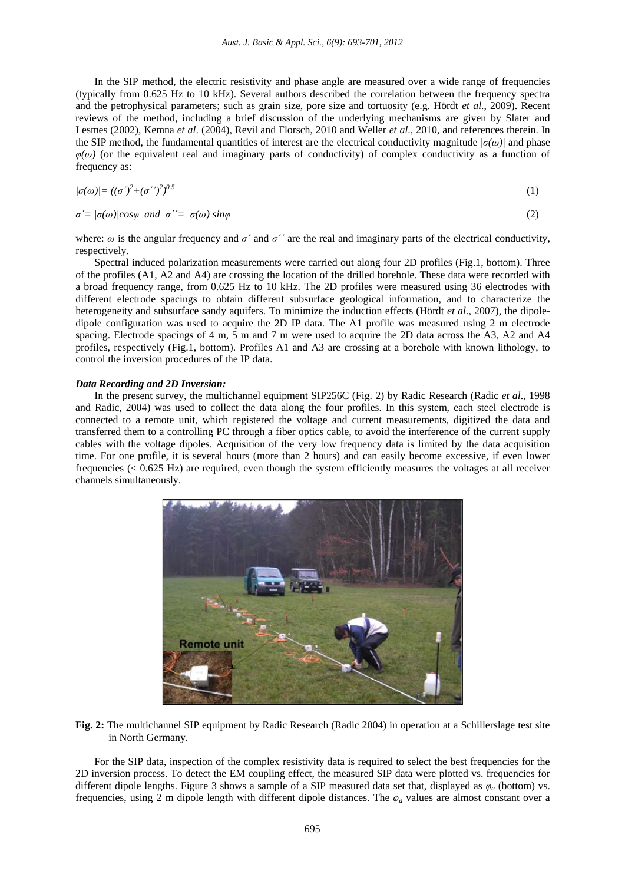In the SIP method, the electric resistivity and phase angle are measured over a wide range of frequencies (typically from 0.625 Hz to 10 kHz). Several authors described the correlation between the frequency spectra and the petrophysical parameters; such as grain size, pore size and tortuosity (e.g. Hördt *et al*., 2009). Recent reviews of the method, including a brief discussion of the underlying mechanisms are given by Slater and Lesmes (2002), Kemna *et al*. (2004), Revil and Florsch, 2010 and Weller *et al*., 2010, and references therein. In the SIP method, the fundamental quantities of interest are the electrical conductivity magnitude  $| \sigma(\omega) |$  and phase  $\varphi(\omega)$  (or the equivalent real and imaginary parts of conductivity) of complex conductivity as a function of frequency as:

$$
|\sigma(\omega)| = ((\sigma')^2 + (\sigma')^2)^{0.5} \tag{1}
$$

 $\sigma' = |\sigma(\omega)|\cos\varphi$  and  $\sigma' = |\sigma(\omega)|\sin\varphi$  (2)

where:  $\omega$  is the angular frequency and  $\sigma'$  and  $\sigma''$  are the real and imaginary parts of the electrical conductivity, respectively.

Spectral induced polarization measurements were carried out along four 2D profiles (Fig.1, bottom). Three of the profiles (A1, A2 and A4) are crossing the location of the drilled borehole. These data were recorded with a broad frequency range, from 0.625 Hz to 10 kHz. The 2D profiles were measured using 36 electrodes with different electrode spacings to obtain different subsurface geological information, and to characterize the heterogeneity and subsurface sandy aquifers. To minimize the induction effects (Hördt *et al*., 2007), the dipoledipole configuration was used to acquire the 2D IP data. The A1 profile was measured using 2 m electrode spacing. Electrode spacings of 4 m, 5 m and 7 m were used to acquire the 2D data across the A3, A2 and A4 profiles, respectively (Fig.1, bottom). Profiles A1 and A3 are crossing at a borehole with known lithology, to control the inversion procedures of the IP data.

# *Data Recording and 2D Inversion:*

In the present survey, the multichannel equipment SIP256C (Fig. 2) by Radic Research (Radic *et al*., 1998 and Radic, 2004) was used to collect the data along the four profiles. In this system, each steel electrode is connected to a remote unit, which registered the voltage and current measurements, digitized the data and transferred them to a controlling PC through a fiber optics cable, to avoid the interference of the current supply cables with the voltage dipoles. Acquisition of the very low frequency data is limited by the data acquisition time. For one profile, it is several hours (more than 2 hours) and can easily become excessive, if even lower frequencies (< 0.625 Hz) are required, even though the system efficiently measures the voltages at all receiver channels simultaneously.



**Fig. 2:** The multichannel SIP equipment by Radic Research (Radic 2004) in operation at a Schillerslage test site in North Germany.

For the SIP data, inspection of the complex resistivity data is required to select the best frequencies for the 2D inversion process. To detect the EM coupling effect, the measured SIP data were plotted vs. frequencies for different dipole lengths. Figure 3 shows a sample of a SIP measured data set that, displayed as  $\varphi_a$  (bottom) vs. frequencies, using 2 m dipole length with different dipole distances. The *φ<sup>a</sup>* values are almost constant over a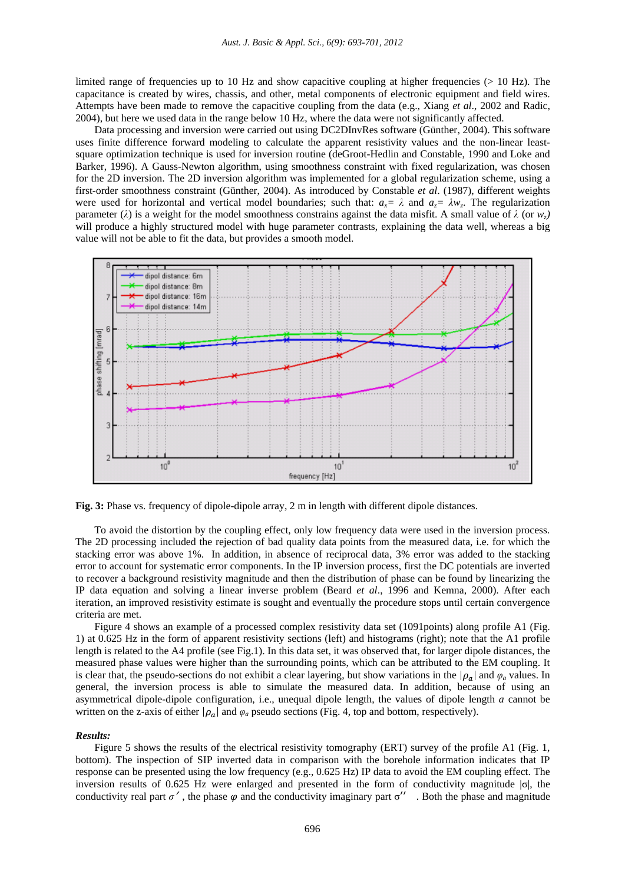limited range of frequencies up to 10 Hz and show capacitive coupling at higher frequencies (> 10 Hz). The capacitance is created by wires, chassis, and other, metal components of electronic equipment and field wires. Attempts have been made to remove the capacitive coupling from the data (e.g., Xiang *et al*., 2002 and Radic, 2004), but here we used data in the range below 10 Hz, where the data were not significantly affected.

Data processing and inversion were carried out using DC2DInvRes software (Günther, 2004). This software uses finite difference forward modeling to calculate the apparent resistivity values and the non-linear leastsquare optimization technique is used for inversion routine (deGroot-Hedlin and Constable, 1990 and Loke and Barker, 1996). A Gauss-Newton algorithm, using smoothness constraint with fixed regularization, was chosen for the 2D inversion. The 2D inversion algorithm was implemented for a global regularization scheme, using a first-order smoothness constraint (Günther, 2004). As introduced by Constable *et al*. (1987), different weights were used for horizontal and vertical model boundaries; such that:  $a_x = \lambda$  and  $a_y = \lambda w_y$ . The regularization parameter ( $\lambda$ ) is a weight for the model smoothness constrains against the data misfit. A small value of  $\lambda$  (or  $w_z$ ) will produce a highly structured model with huge parameter contrasts, explaining the data well, whereas a big value will not be able to fit the data, but provides a smooth model.



**Fig. 3:** Phase vs. frequency of dipole-dipole array, 2 m in length with different dipole distances.

To avoid the distortion by the coupling effect, only low frequency data were used in the inversion process. The 2D processing included the rejection of bad quality data points from the measured data, i.e. for which the stacking error was above 1%. In addition, in absence of reciprocal data, 3% error was added to the stacking error to account for systematic error components. In the IP inversion process, first the DC potentials are inverted to recover a background resistivity magnitude and then the distribution of phase can be found by linearizing the IP data equation and solving a linear inverse problem (Beard *et al*., 1996 and Kemna, 2000). After each iteration, an improved resistivity estimate is sought and eventually the procedure stops until certain convergence criteria are met.

Figure 4 shows an example of a processed complex resistivity data set (1091points) along profile A1 (Fig. 1) at 0.625 Hz in the form of apparent resistivity sections (left) and histograms (right); note that the A1 profile length is related to the A4 profile (see Fig.1). In this data set, it was observed that, for larger dipole distances, the measured phase values were higher than the surrounding points, which can be attributed to the EM coupling. It is clear that, the pseudo-sections do not exhibit a clear layering, but show variations in the  $|\rho_a|$  and  $\varphi_a$  values. In general, the inversion process is able to simulate the measured data. In addition, because of using an asymmetrical dipole-dipole configuration, i.e., unequal dipole length, the values of dipole length *a* cannot be written on the z-axis of either  $|\rho_a|$  and  $\varphi_a$  pseudo sections (Fig. 4, top and bottom, respectively).

#### *Results:*

Figure 5 shows the results of the electrical resistivity tomography (ERT) survey of the profile A1 (Fig. 1, bottom). The inspection of SIP inverted data in comparison with the borehole information indicates that IP response can be presented using the low frequency (e.g., 0.625 Hz) IP data to avoid the EM coupling effect. The inversion results of 0.625 Hz were enlarged and presented in the form of conductivity magnitude  $|\sigma|$ , the conductivity real part  $\sigma'$ , the phase  $\varphi$  and the conductivity imaginary part  $\sigma''$ . Both the phase and magnitude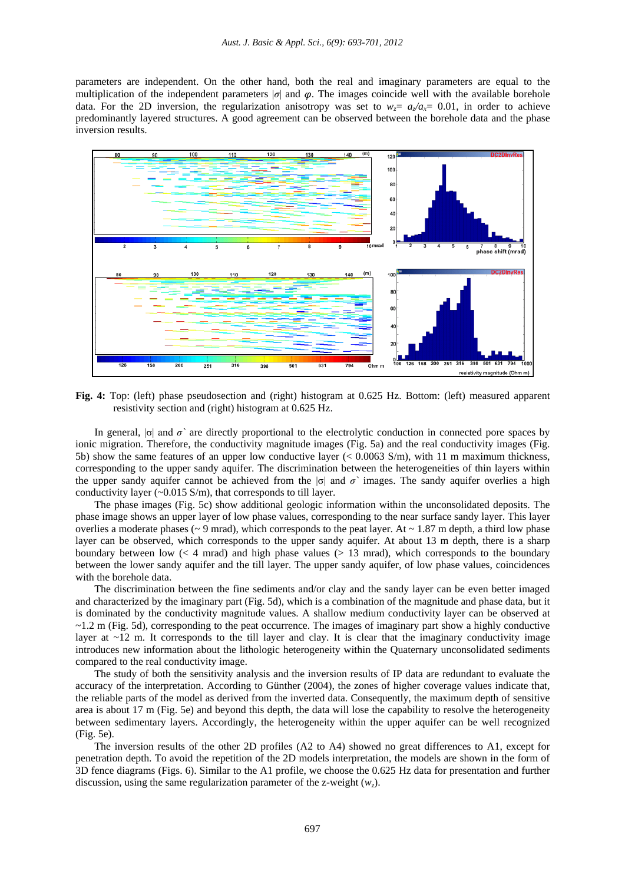parameters are independent. On the other hand, both the real and imaginary parameters are equal to the multiplication of the independent parameters  $|\sigma|$  and  $\varphi$ . The images coincide well with the available borehole data. For the 2D inversion, the regularization anisotropy was set to  $w = a/a = 0.01$ , in order to achieve predominantly layered structures. A good agreement can be observed between the borehole data and the phase inversion results.



**Fig. 4:** Top: (left) phase pseudosection and (right) histogram at 0.625 Hz. Bottom: (left) measured apparent resistivity section and (right) histogram at 0.625 Hz.

In general, |σ| and *σ`* are directly proportional to the electrolytic conduction in connected pore spaces by ionic migration. Therefore, the conductivity magnitude images (Fig. 5a) and the real conductivity images (Fig. 5b) show the same features of an upper low conductive layer (< 0.0063 S/m), with 11 m maximum thickness, corresponding to the upper sandy aquifer. The discrimination between the heterogeneities of thin layers within the upper sandy aquifer cannot be achieved from the  $|\sigma|$  and  $\sigma$ <sup>*'*</sup> images. The sandy aquifer overlies a high conductivity layer  $(-0.015 \text{ S/m})$ , that corresponds to till layer.

The phase images (Fig. 5c) show additional geologic information within the unconsolidated deposits. The phase image shows an upper layer of low phase values, corresponding to the near surface sandy layer. This layer overlies a moderate phases ( $\sim$  9 mrad), which corresponds to the peat layer. At  $\sim$  1.87 m depth, a third low phase layer can be observed, which corresponds to the upper sandy aquifer. At about 13 m depth, there is a sharp boundary between low  $(< 4$  mrad) and high phase values  $(> 13$  mrad), which corresponds to the boundary between the lower sandy aquifer and the till layer. The upper sandy aquifer, of low phase values, coincidences with the borehole data.

The discrimination between the fine sediments and/or clay and the sandy layer can be even better imaged and characterized by the imaginary part (Fig. 5d), which is a combination of the magnitude and phase data, but it is dominated by the conductivity magnitude values. A shallow medium conductivity layer can be observed at ~1.2 m (Fig. 5d), corresponding to the peat occurrence. The images of imaginary part show a highly conductive layer at  $\sim$ 12 m. It corresponds to the till layer and clay. It is clear that the imaginary conductivity image introduces new information about the lithologic heterogeneity within the Quaternary unconsolidated sediments compared to the real conductivity image.

The study of both the sensitivity analysis and the inversion results of IP data are redundant to evaluate the accuracy of the interpretation. According to Günther (2004), the zones of higher coverage values indicate that, the reliable parts of the model as derived from the inverted data. Consequently, the maximum depth of sensitive area is about 17 m (Fig. 5e) and beyond this depth, the data will lose the capability to resolve the heterogeneity between sedimentary layers. Accordingly, the heterogeneity within the upper aquifer can be well recognized (Fig. 5e).

The inversion results of the other 2D profiles (A2 to A4) showed no great differences to A1, except for penetration depth. To avoid the repetition of the 2D models interpretation, the models are shown in the form of 3D fence diagrams (Figs. 6). Similar to the A1 profile, we choose the 0.625 Hz data for presentation and further discussion, using the same regularization parameter of the z-weight  $(w_7)$ .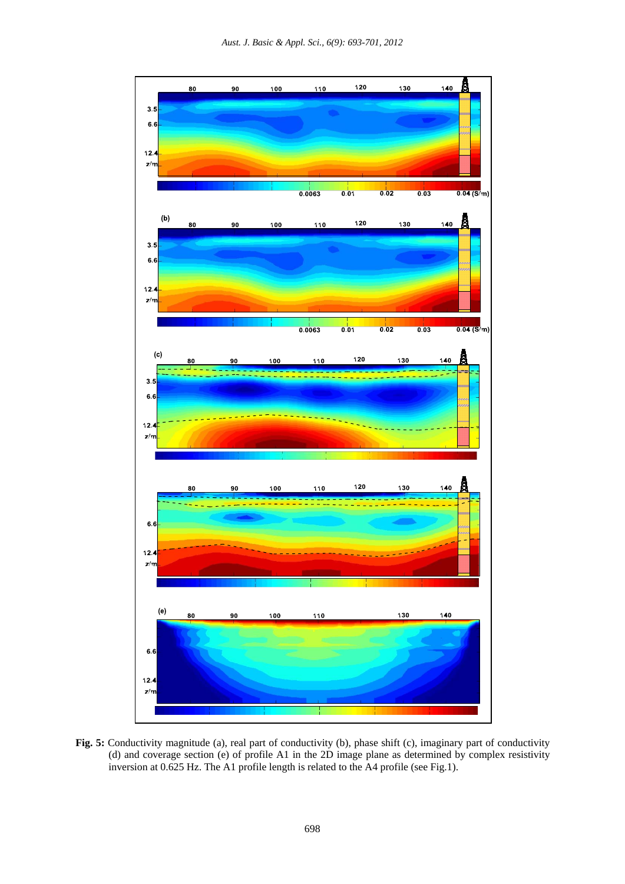

**Fig. 5:** Conductivity magnitude (a), real part of conductivity (b), phase shift (c), imaginary part of conductivity (d) and coverage section (e) of profile A1 in the 2D image plane as determined by complex resistivity inversion at 0.625 Hz. The A1 profile length is related to the A4 profile (see Fig.1).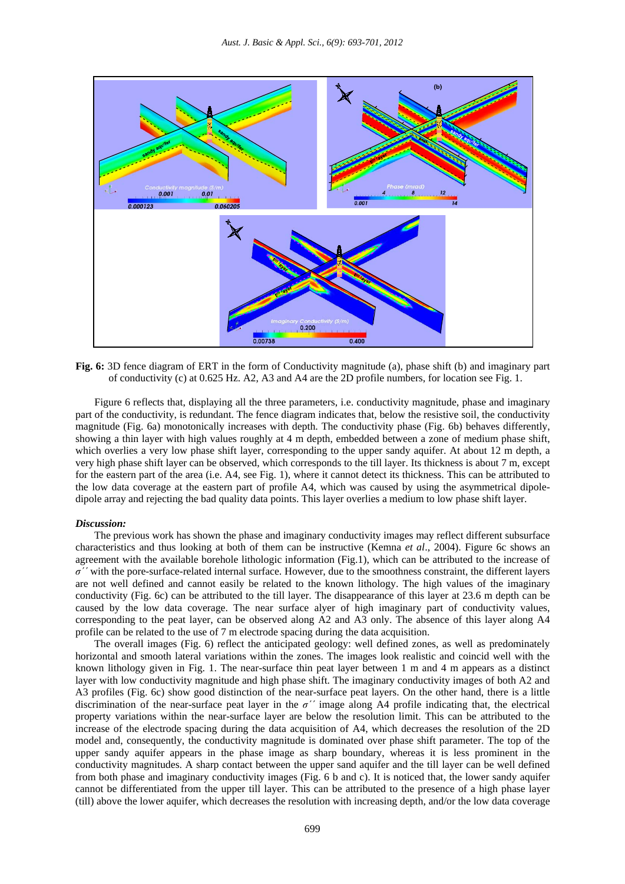

**Fig. 6:** 3D fence diagram of ERT in the form of Conductivity magnitude (a), phase shift (b) and imaginary part of conductivity (c) at 0.625 Hz. A2, A3 and A4 are the 2D profile numbers, for location see Fig. 1.

Figure 6 reflects that, displaying all the three parameters, i.e. conductivity magnitude, phase and imaginary part of the conductivity, is redundant. The fence diagram indicates that, below the resistive soil, the conductivity magnitude (Fig. 6a) monotonically increases with depth. The conductivity phase (Fig. 6b) behaves differently, showing a thin layer with high values roughly at 4 m depth, embedded between a zone of medium phase shift, which overlies a very low phase shift layer, corresponding to the upper sandy aquifer. At about 12 m depth, a very high phase shift layer can be observed, which corresponds to the till layer. Its thickness is about 7 m, except for the eastern part of the area (i.e. A4, see Fig. 1), where it cannot detect its thickness. This can be attributed to the low data coverage at the eastern part of profile A4, which was caused by using the asymmetrical dipoledipole array and rejecting the bad quality data points. This layer overlies a medium to low phase shift layer.

## *Discussion:*

The previous work has shown the phase and imaginary conductivity images may reflect different subsurface characteristics and thus looking at both of them can be instructive (Kemna *et al*., 2004). Figure 6c shows an agreement with the available borehole lithologic information (Fig.1), which can be attributed to the increase of *σ΄΄* with the pore-surface-related internal surface. However, due to the smoothness constraint, the different layers are not well defined and cannot easily be related to the known lithology. The high values of the imaginary conductivity (Fig. 6c) can be attributed to the till layer. The disappearance of this layer at 23.6 m depth can be caused by the low data coverage. The near surface alyer of high imaginary part of conductivity values, corresponding to the peat layer, can be observed along A2 and A3 only. The absence of this layer along A4 profile can be related to the use of 7 m electrode spacing during the data acquisition.

The overall images (Fig. 6) reflect the anticipated geology: well defined zones, as well as predominately horizontal and smooth lateral variations within the zones. The images look realistic and coincid well with the known lithology given in Fig. 1. The near-surface thin peat layer between 1 m and 4 m appears as a distinct layer with low conductivity magnitude and high phase shift. The imaginary conductivity images of both A2 and A3 profiles (Fig. 6c) show good distinction of the near-surface peat layers. On the other hand, there is a little discrimination of the near-surface peat layer in the *σ΄΄* image along A4 profile indicating that, the electrical property variations within the near-surface layer are below the resolution limit. This can be attributed to the increase of the electrode spacing during the data acquisition of A4, which decreases the resolution of the 2D model and, consequently, the conductivity magnitude is dominated over phase shift parameter. The top of the upper sandy aquifer appears in the phase image as sharp boundary, whereas it is less prominent in the conductivity magnitudes. A sharp contact between the upper sand aquifer and the till layer can be well defined from both phase and imaginary conductivity images (Fig. 6 b and c). It is noticed that, the lower sandy aquifer cannot be differentiated from the upper till layer. This can be attributed to the presence of a high phase layer (till) above the lower aquifer, which decreases the resolution with increasing depth, and/or the low data coverage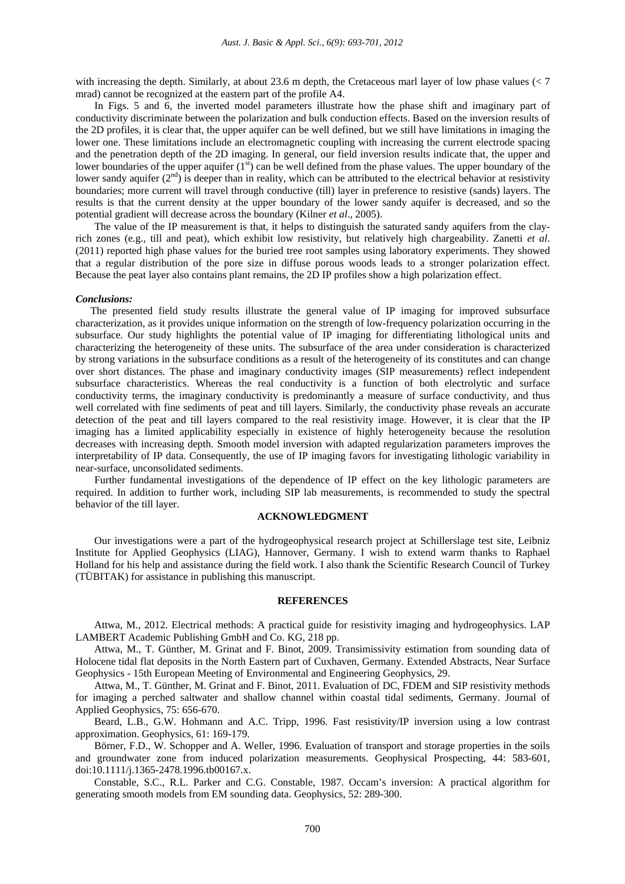with increasing the depth. Similarly, at about 23.6 m depth, the Cretaceous marl layer of low phase values (< 7 mrad) cannot be recognized at the eastern part of the profile A4.

In Figs. 5 and 6, the inverted model parameters illustrate how the phase shift and imaginary part of conductivity discriminate between the polarization and bulk conduction effects. Based on the inversion results of the 2D profiles, it is clear that, the upper aquifer can be well defined, but we still have limitations in imaging the lower one. These limitations include an electromagnetic coupling with increasing the current electrode spacing and the penetration depth of the 2D imaging. In general, our field inversion results indicate that, the upper and lower boundaries of the upper aquifer  $(1<sup>st</sup>)$  can be well defined from the phase values. The upper boundary of the lower sandy aquifer  $(2<sup>nd</sup>)$  is deeper than in reality, which can be attributed to the electrical behavior at resistivity boundaries; more current will travel through conductive (till) layer in preference to resistive (sands) layers. The results is that the current density at the upper boundary of the lower sandy aquifer is decreased, and so the potential gradient will decrease across the boundary (Kilner *et al*., 2005).

The value of the IP measurement is that, it helps to distinguish the saturated sandy aquifers from the clayrich zones (e.g., till and peat), which exhibit low resistivity, but relatively high chargeability. Zanetti *et al*. (2011) reported high phase values for the buried tree root samples using laboratory experiments. They showed that a regular distribution of the pore size in diffuse porous woods leads to a stronger polarization effect. Because the peat layer also contains plant remains, the 2D IP profiles show a high polarization effect.

#### *Conclusions:*

The presented field study results illustrate the general value of IP imaging for improved subsurface characterization, as it provides unique information on the strength of low-frequency polarization occurring in the subsurface. Our study highlights the potential value of IP imaging for differentiating lithological units and characterizing the heterogeneity of these units. The subsurface of the area under consideration is characterized by strong variations in the subsurface conditions as a result of the heterogeneity of its constitutes and can change over short distances. The phase and imaginary conductivity images (SIP measurements) reflect independent subsurface characteristics. Whereas the real conductivity is a function of both electrolytic and surface conductivity terms, the imaginary conductivity is predominantly a measure of surface conductivity, and thus well correlated with fine sediments of peat and till layers. Similarly, the conductivity phase reveals an accurate detection of the peat and till layers compared to the real resistivity image. However, it is clear that the IP imaging has a limited applicability especially in existence of highly heterogeneity because the resolution decreases with increasing depth. Smooth model inversion with adapted regularization parameters improves the interpretability of IP data. Consequently, the use of IP imaging favors for investigating lithologic variability in near-surface, unconsolidated sediments.

Further fundamental investigations of the dependence of IP effect on the key lithologic parameters are required. In addition to further work, including SIP lab measurements, is recommended to study the spectral behavior of the till layer.

# **ACKNOWLEDGMENT**

Our investigations were a part of the hydrogeophysical research project at Schillerslage test site, Leibniz Institute for Applied Geophysics (LIAG), Hannover, Germany. I wish to extend warm thanks to Raphael Holland for his help and assistance during the field work. I also thank the Scientific Research Council of Turkey (TÜBITAK) for assistance in publishing this manuscript.

#### **REFERENCES**

Attwa, M., 2012. Electrical methods: A practical guide for resistivity imaging and hydrogeophysics. LAP LAMBERT Academic Publishing GmbH and Co. KG, 218 pp.

Attwa, M., T. Günther, M. Grinat and F. Binot, 2009. Transimissivity estimation from sounding data of Holocene tidal flat deposits in the North Eastern part of Cuxhaven, Germany. Extended Abstracts, Near Surface Geophysics - 15th European Meeting of Environmental and Engineering Geophysics, 29.

Attwa, M., T. Günther, M. Grinat and F. Binot, 2011. Evaluation of DC, FDEM and SIP resistivity methods for imaging a perched saltwater and shallow channel within coastal tidal sediments, Germany. Journal of Applied Geophysics, 75: 656-670.

Beard, L.B., G.W. Hohmann and A.C. Tripp, 1996. Fast resistivity/IP inversion using a low contrast approximation. Geophysics, 61: 169-179.

Börner, F.D., W. Schopper and A. Weller, 1996. Evaluation of transport and storage properties in the soils and groundwater zone from induced polarization measurements. Geophysical Prospecting, 44: 583-601, doi:10.1111/j.1365-2478.1996.tb00167.x.

Constable, S.C., R.L. Parker and C.G. Constable, 1987. Occam's inversion: A practical algorithm for generating smooth models from EM sounding data. Geophysics, 52: 289-300.